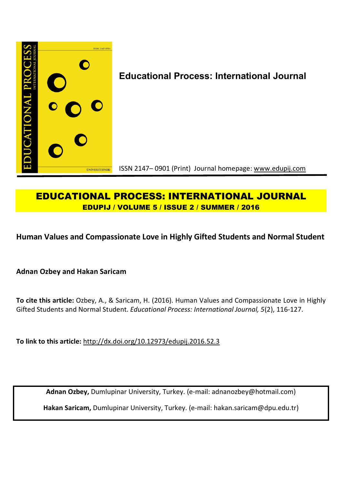

# **EDUCATIONAL PROCESS: INTERNATIONAL JOURNAL EDUPIJ / VOLUME 5 / ISSUE 2 / SUMMER / 2016**

**Human Values and Compassionate Love in Highly Gifted Students and Normal Student**

**Adnan Ozbey and Hakan Saricam**

**To cite this article:** Ozbey, A., & Saricam, H. (2016). Human Values and Compassionate Love in Highly Gifted Students and Normal Student. *Educational Process: International Journal, 5*(2), 116-127.

**To link to this article:** http://dx.doi.org/10.12973/edupij.2016.52.3

**Adnan Ozbey,** Dumlupinar University, Turkey. (e-mail: adnanozbey@hotmail.com)

**Hakan Saricam,** Dumlupinar University, Turkey. (e-mail: hakan.saricam@dpu.edu.tr)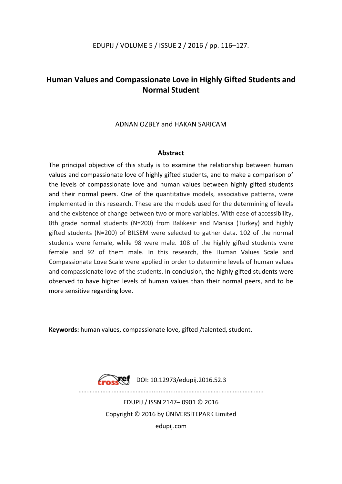# **Human Values and Compassionate Love in Highly Gifted Students and Normal Student**

## ADNAN OZBEY and HAKAN SARICAM

### **Abstract**

The principal objective of this study is to examine the relationship between human values and compassionate love of highly gifted students, and to make a comparison of the levels of compassionate love and human values between highly gifted students and their normal peers. One of the quantitative models, associative patterns, were implemented in this research. These are the models used for the determining of levels and the existence of change between two or more variables. With ease of accessibility, 8th grade normal students (N=200) from Balıkesir and Manisa (Turkey) and highly gifted students (N=200) of BILSEM were selected to gather data. 102 of the normal students were female, while 98 were male. 108 of the highly gifted students were female and 92 of them male. In this research, the Human Values Scale and Compassionate Love Scale were applied in order to determine levels of human values and compassionate love of the students. In conclusion, the highly gifted students were observed to have higher levels of human values than their normal peers, and to be more sensitive regarding love.

**Keywords:** human values, compassionate love, gifted /talented, student.



………………………………………........….....………………………………...……………

EDUPIJ / ISSN 2147– 0901 © 2016 Copyright © 2016 by ÜNİVERSİTEPARK Limited edupij.com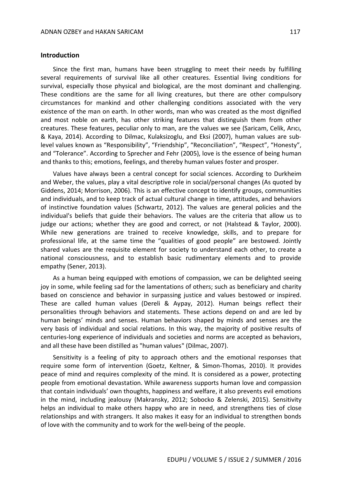#### **Introduction**

Since the first man, humans have been struggling to meet their needs by fulfilling several requirements of survival like all other creatures. Essential living conditions for survival, especially those physical and biological, are the most dominant and challenging. These conditions are the same for all living creatures, but there are other compulsory circumstances for mankind and other challenging conditions associated with the very existence of the man on earth. In other words, man who was created as the most dignified and most noble on earth, has other striking features that distinguish them from other creatures. These features, peculiar only to man, are the values we see (Saricam, Celik, Arıcı, & Kaya, 2014). According to Dilmac, Kulaksizoglu, and Eksi (2007), human values are sublevel values known as "Responsibility", "Friendship", "Reconciliation", "Respect", "Honesty", and "Tolerance". According to Sprecher and Fehr (2005), love is the essence of being human and thanks to this; emotions, feelings, and thereby human values foster and prosper.

Values have always been a central concept for social sciences. According to Durkheim and Weber, the values, play a vital descriptive role in social/personal changes (As quoted by Giddens, 2014; Morrison, 2006). This is an effective concept to identify groups, communities and individuals, and to keep track of actual cultural change in time, attitudes, and behaviors of instinctive foundation values (Schwartz, 2012). The values are general policies and the individual's beliefs that guide their behaviors. The values are the criteria that allow us to judge our actions; whether they are good and correct, or not (Halstead & Taylor, 2000). While new generations are trained to receive knowledge, skills, and to prepare for professional life, at the same time the "qualities of good people" are bestowed. Jointly shared values are the requisite element for society to understand each other, to create a national consciousness, and to establish basic rudimentary elements and to provide empathy (Sener, 2013).

As a human being equipped with emotions of compassion, we can be delighted seeing joy in some, while feeling sad for the lamentations of others; such as beneficiary and charity based on conscience and behavior in surpassing justice and values bestowed or inspired. These are called human values (Dereli & Aypay, 2012). Human beings reflect their personalities through behaviors and statements. These actions depend on and are led by human beings' minds and senses. Human behaviors shaped by minds and senses are the very basis of individual and social relations. In this way, the majority of positive results of centuries-long experience of individuals and societies and norms are accepted as behaviors, and all these have been distilled as "human values" (Dilmac, 2007).

Sensitivity is a feeling of pity to approach others and the emotional responses that require some form of intervention (Goetz, Keltner, & Simon-Thomas, 2010). It provides peace of mind and requires complexity of the mind. It is considered as a power, protecting people from emotional devastation. While awareness supports human love and compassion that contain individuals' own thoughts, happiness and welfare, it also prevents evil emotions in the mind, including jealousy (Makransky, 2012; Sobocko & Zelenski, 2015). Sensitivity helps an individual to make others happy who are in need, and strengthens ties of close relationships and with strangers. It also makes it easy for an individual to strengthen bonds of love with the community and to work for the well-being of the people.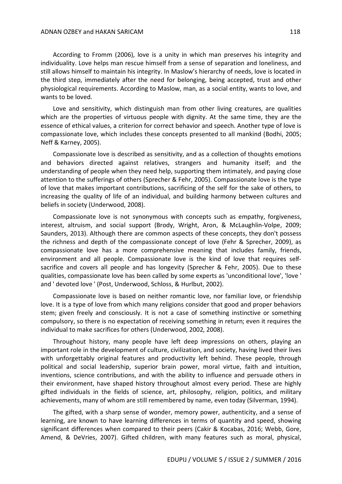According to Fromm (2006), love is a unity in which man preserves his integrity and individuality. Love helps man rescue himself from a sense of separation and loneliness, and still allows himself to maintain his integrity. In Maslow's hierarchy of needs, love is located in the third step, immediately after the need for belonging, being accepted, trust and other physiological requirements. According to Maslow, man, as a social entity, wants to love, and wants to be loved.

Love and sensitivity, which distinguish man from other living creatures, are qualities which are the properties of virtuous people with dignity. At the same time, they are the essence of ethical values, a criterion for correct behavior and speech. Another type of love is compassionate love, which includes these concepts presented to all mankind (Bodhi, 2005; Neff & Karney, 2005).

Compassionate love is described as sensitivity, and as a collection of thoughts emotions and behaviors directed against relatives, strangers and humanity itself; and the understanding of people when they need help, supporting them intimately, and paying close attention to the sufferings of others (Sprecher & Fehr, 2005). Compassionate love is the type of love that makes important contributions, sacrificing of the self for the sake of others, to increasing the quality of life of an individual, and building harmony between cultures and beliefs in society (Underwood, 2008).

Compassionate love is not synonymous with concepts such as empathy, forgiveness, interest, altruism, and social support (Brody, Wright, Aron, & McLaughlin-Volpe, 2009; Saunders, 2013). Although there are common aspects of these concepts, they don't possess the richness and depth of the compassionate concept of love (Fehr & Sprecher, 2009), as compassionate love has a more comprehensive meaning that includes family, friends, environment and all people. Compassionate love is the kind of love that requires selfsacrifice and covers all people and has longevity (Sprecher & Fehr, 2005). Due to these qualities, compassionate love has been called by some experts as 'unconditional love', 'love ' and ' devoted love ' (Post, Underwood, Schloss, & Hurlbut, 2002).

Compassionate love is based on neither romantic love, nor familiar love, or friendship love. It is a type of love from which many religions consider that good and proper behaviors stem; given freely and consciously. It is not a case of something instinctive or something compulsory, so there is no expectation of receiving something in return; even it requires the individual to make sacrifices for others (Underwood, 2002, 2008).

Throughout history, many people have left deep impressions on others, playing an important role in the development of culture, civilization, and society, having lived their lives with unforgettably original features and productivity left behind. These people, through political and social leadership, superior brain power, moral virtue, faith and intuition, inventions, science contributions, and with the ability to influence and persuade others in their environment, have shaped history throughout almost every period. These are highly gifted individuals in the fields of science, art, philosophy, religion, politics, and military achievements, many of whom are still remembered by name, even today (Silverman, 1994).

The gifted, with a sharp sense of wonder, memory power, authenticity, and a sense of learning, are known to have learning differences in terms of quantity and speed, showing significant differences when compared to their peers (Cakir & Kocabas, 2016; Webb, Gore, Amend, & DeVries, 2007). Gifted children, with many features such as moral, physical,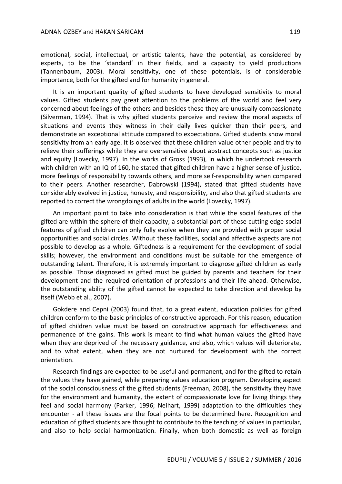emotional, social, intellectual, or artistic talents, have the potential, as considered by experts, to be the 'standard' in their fields, and a capacity to yield productions (Tannenbaum, 2003). Moral sensitivity, one of these potentials, is of considerable importance, both for the gifted and for humanity in general.

It is an important quality of gifted students to have developed sensitivity to moral values. Gifted students pay great attention to the problems of the world and feel very concerned about feelings of the others and besides these they are unusually compassionate (Silverman, 1994). That is why gifted students perceive and review the moral aspects of situations and events they witness in their daily lives quicker than their peers, and demonstrate an exceptional attitude compared to expectations. Gifted students show moral sensitivity from an early age. It is observed that these children value other people and try to relieve their sufferings while they are oversensitive about abstract concepts such as justice and equity (Lovecky, 1997). In the works of Gross (1993), in which he undertook research with children with an IQ of 160, he stated that gifted children have a higher sense of justice, more feelings of responsibility towards others, and more self-responsibility when compared to their peers. Another researcher, Dabrowski (1994), stated that gifted students have considerably evolved in justice, honesty, and responsibility, and also that gifted students are reported to correct the wrongdoings of adults in the world (Lovecky, 1997).

An important point to take into consideration is that while the social features of the gifted are within the sphere of their capacity, a substantial part of these cutting-edge social features of gifted children can only fully evolve when they are provided with proper social opportunities and social circles. Without these facilities, social and affective aspects are not possible to develop as a whole. Giftedness is a requirement for the development of social skills; however, the environment and conditions must be suitable for the emergence of outstanding talent. Therefore, it is extremely important to diagnose gifted children as early as possible. Those diagnosed as gifted must be guided by parents and teachers for their development and the required orientation of professions and their life ahead. Otherwise, the outstanding ability of the gifted cannot be expected to take direction and develop by itself (Webb et al., 2007).

Gokdere and Cepni (2003) found that, to a great extent, education policies for gifted children conform to the basic principles of constructive approach. For this reason, education of gifted children value must be based on constructive approach for effectiveness and permanence of the gains. This work is meant to find what human values the gifted have when they are deprived of the necessary guidance, and also, which values will deteriorate, and to what extent, when they are not nurtured for development with the correct orientation.

Research findings are expected to be useful and permanent, and for the gifted to retain the values they have gained, while preparing values education program. Developing aspect of the social consciousness of the gifted students (Freeman, 2008), the sensitivity they have for the environment and humanity, the extent of compassionate love for living things they feel and social harmony (Parker, 1996; Neihart, 1999) adaptation to the difficulties they encounter - all these issues are the focal points to be determined here. Recognition and education of gifted students are thought to contribute to the teaching of values in particular, and also to help social harmonization. Finally, when both domestic as well as foreign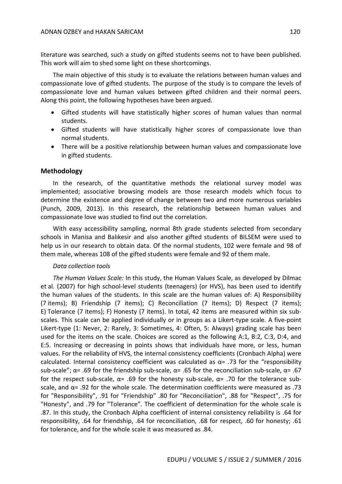literature was searched, such a study on gifted students seems not to have been published. This work will aim to shed some light on these shortcomings.

The main objective of this study is to evaluate the relations between human values and compassionate love of gifted students. The purpose of the study is to compare the levels of compassionate love and human values between gifted children and their normal peers. Along this point, the following hypotheses have been argued.

- Gifted students will have statistically higher scores of human values than normal students.
- Gifted students will have statistically higher scores of compassionate love than normal students.
- There will be a positive relationship between human values and compassionate love in gifted students.

#### **Methodology**

In the research, of the quantitative methods the relational survey model was implemented; associative browsing models are those research models which focus to determine the existence and degree of change between two and more numerous variables (Punch, 2009, 2013). In this research, the relationship between human values and compassionate love was studied to find out the correlation.

With easy accessibility sampling, normal 8th grade students selected from secondary schools in Manisa and Balıkesir and also another gifted students of BILSEM were used to help us in our research to obtain data. Of the normal students, 102 were female and 98 of them male, whereas 108 of the gifted students were female and 92 of them male.

#### *Data collection tools*

*The Human Values Scale:* In this study, the Human Values Scale, as developed by Dilmac et al. (2007) for high school-level students (teenagers) (or HVS), has been used to identify the human values of the students. In this scale are the human values of: A) Responsibility (7 items); B) Friendship (7 items); C) Reconciliation (7 items); D) Respect (7 items); E) Tolerance (7 items); F) Honesty (7 items). In total, 42 items are measured within six subscales. This scale can be applied individually or in groups as a Likert-type scale. A five-point Likert-type (1: Never, 2: Rarely, 3: Sometimes, 4: Often, 5: Always) grading scale has been used for the items on the scale. Choices are scored as the following A:1, B:2, C:3, D:4, and E:5. Increasing or decreasing in points shows that individuals have more, or less, human values. For the reliability of HVS, the internal consistency coefficients (Cronbach Alpha) were calculated. Internal consistency coefficient was calculated as  $\alpha$ = .73 for the "responsibility sub-scale";  $\alpha$ = .69 for the friendship sub-scale,  $\alpha$ = .65 for the reconciliation sub-scale,  $\alpha$ = .67 for the respect sub-scale, α= .69 for the honesty sub-scale, α= .70 for the tolerance subscale, and  $\alpha$ = .92 for the whole scale. The determination coefficients were measured as .73 for "Responsibility", .91 for "Friendship" .80 for "Reconciliation", .88 for "Respect", .75 for "Honesty", and .79 for "Tolerance". The coefficient of determination for the whole scale is .87. In this study, the Cronbach Alpha coefficient of internal consistency reliability is .64 for responsibility, .64 for friendship, .64 for reconciliation, .68 for respect, .60 for honesty; .61 for tolerance, and for the whole scale it was measured as .84.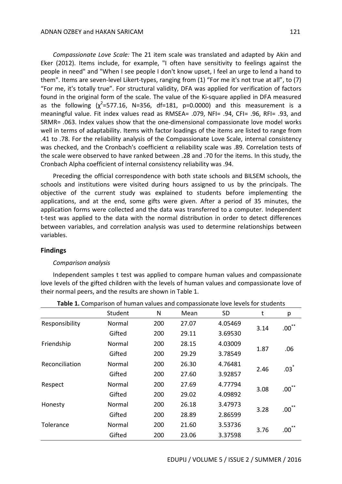*Compassionate Love Scale:* The 21 item scale was translated and adapted by Akin and Eker (2012). Items include, for example, "I often have sensitivity to feelings against the people in need" and "When I see people I don't know upset, I feel an urge to lend a hand to them". Items are seven-level Likert-types, ranging from (1) "For me it's not true at all", to (7) "For me, it's totally true". For structural validity, DFA was applied for verification of factors found in the original form of the scale. The value of the Ki-square applied in DFA measured as the following  $(\chi^2=577.16, N=356, df=181, p=0.0000)$  and this measurement is a meaningful value. Fit index values read as RMSEA= .079, NFI= .94, CFI= .96, RFI= .93, and SRMR= .063. Index values show that the one-dimensional compassionate love model works well in terms of adaptability. Items with factor loadings of the items are listed to range from .41 to .78. For the reliability analysis of the Compassionate Love Scale, internal consistency was checked, and the Cronbach's coefficient α reliability scale was .89. Correlation tests of the scale were observed to have ranked between .28 and .70 for the items. In this study, the Cronbach Alpha coefficient of internal consistency reliability was .94.

Preceding the official correspondence with both state schools and BILSEM schools, the schools and institutions were visited during hours assigned to us by the principals. The objective of the current study was explained to students before implementing the applications, and at the end, some gifts were given. After a period of 35 minutes, the application forms were collected and the data was transferred to a computer. Independent t-test was applied to the data with the normal distribution in order to detect differences between variables, and correlation analysis was used to determine relationships between variables.

#### **Findings**

#### *Comparison analysis*

Independent samples t test was applied to compare human values and compassionate love levels of the gifted children with the levels of human values and compassionate love of their normal peers, and the results are shown in Table 1.

|                | Student | N   | Mean  | <b>SD</b> | t    | р                         |
|----------------|---------|-----|-------|-----------|------|---------------------------|
| Responsibility | Normal  | 200 | 27.07 | 4.05469   | 3.14 | $.00^{**}$                |
|                | Gifted  | 200 | 29.11 | 3.69530   |      |                           |
| Friendship     | Normal  | 200 | 28.15 | 4.03009   | 1.87 | .06                       |
|                | Gifted  | 200 | 29.29 | 3.78549   |      |                           |
| Reconciliation | Normal  | 200 | 26.30 | 4.76481   |      | $.03^*$                   |
|                | Gifted  | 200 | 27.60 | 3.92857   | 2.46 |                           |
| Respect        | Normal  | 200 | 27.69 | 4.77794   | 3.08 | $.00^{**}$                |
|                | Gifted  | 200 | 29.02 | 4.09892   |      |                           |
| Honesty        | Normal  | 200 | 26.18 | 3.47973   |      | $***$<br>.00 <sub>1</sub> |
|                | Gifted  | 200 | 28.89 | 2.86599   | 3.28 |                           |
| Tolerance      | Normal  | 200 | 21.60 | 3.53736   |      | $***$<br>.00              |
|                | Gifted  | 200 | 23.06 | 3.37598   | 3.76 |                           |

**Table 1.** Comparison of human values and compassionate love levels for students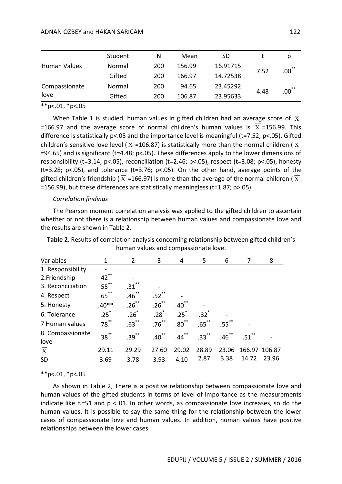|                       | Student | N   | Mean   | SD       |      | D.         |
|-----------------------|---------|-----|--------|----------|------|------------|
| Human Values          | Normal  | 200 | 156.99 | 16.91715 |      | $.00^{**}$ |
|                       | Gifted  | 200 | 166.97 | 14.72538 | 7.52 |            |
| Compassionate<br>love | Normal  | 200 | 94.65  | 23.45292 |      | $.00^{**}$ |
|                       | Gifted  | 200 | 106.87 | 23.95633 | 4.48 |            |

 $*$  $p$ <.01,  $*$  $p$ <.05

When Table 1 is studied, human values in gifted children had an average score of  $\overline{X}$  $=166.97$  and the average score of normal children's human values is  $X = 156.99$ . This difference is statistically p<.05 and the importance level is meaningful (t=7.52; p<.05). Gifted children's sensitive love level ( $\overline{X}$  =106.87) is statistically more than the normal children ( $\overline{X}$  $=$ 94.65) and is significant (t=4.48; p<.05). These differences apply to the lower dimensions of responsibility (t=3.14; p<.05), reconciliation (t=2.46; p<.05), respect (t=3.08; p<.05), honesty (t=3.28; p<.05), and tolerance (t=3.76; p<.05). On the other hand, average points of the gifted children's friendship ( $\overline{X}$  =166.97) is more than the average of the normal children ( $\overline{X}$ =156.99), but these differences are statistically meaningless (t=1.87; p>.05).

#### *Correlation findings*

The Pearson moment correlation analysis was applied to the gifted children to ascertain whether or not there is a relationship between human values and compassionate love and the results are shown in Table 2.

| <b>Table 2.</b> Results of correlation analysis concerning relationship between gifted children's |
|---------------------------------------------------------------------------------------------------|
| human values and compassionate love.                                                              |

| Variables                | $\mathbf 1$         | $\overline{2}$ | 3          | 4          | 5        | 6        | 7             | 8             |
|--------------------------|---------------------|----------------|------------|------------|----------|----------|---------------|---------------|
| 1. Responsibility        |                     |                |            |            |          |          |               |               |
| 2. Friendship            | $***$<br>.42        |                |            |            |          |          |               |               |
| 3. Reconciliation        | $.55$ <sup>**</sup> | .31            |            |            |          |          |               |               |
| 4. Respect               | $.65***$            | $.46***$       | $.52$ **   |            |          |          |               |               |
| 5. Honesty               | $.40**$             | $.26***$       | $.26$ **   | $.40^{**}$ |          |          |               |               |
| 6. Tolerance             | .25                 | $.26*$         | $.28*$     | $.25^*$    | $.32*$   |          |               |               |
| 7 Human values           | $.78^{**}$          | $.63***$       | $.76***$   | $.80^{**}$ | $.65***$ | $.55$ ** |               |               |
| 8. Compassionate<br>love | $.38***$            | $.39***$       | $.40^{**}$ | $.44***$   | $.33***$ | $.46$ ** | $.51^{\circ}$ |               |
| $\overline{X}$           | 29.11               | 29.29          | 27.60      | 29.02      | 28.89    | 23.06    |               | 166.97 106.87 |
| <b>SD</b>                | 3.69                | 3.78           | 3.93       | 4.10       | 2.87     | 3.38     | 14.72         | 23.96         |

\*\*p<.01, \*p<.05

As shown in Table 2, There is a positive relationship between compassionate love and human values of the gifted students in terms of level of importance as the measurements indicate like  $r=51$  and  $p < 01$ . In other words, as compassionate love increases, so do the human values. It is possible to say the same thing for the relationship between the lower cases of compassionate love and human values. In addition, human values have positive relationships between the lower cases.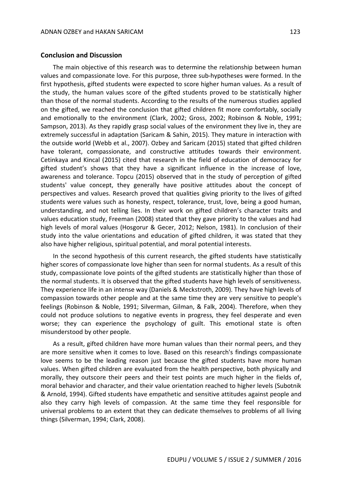#### **Conclusion and Discussion**

The main objective of this research was to determine the relationship between human values and compassionate love. For this purpose, three sub-hypotheses were formed. In the first hypothesis, gifted students were expected to score higher human values. As a result of the study, the human values score of the gifted students proved to be statistically higher than those of the normal students. According to the results of the numerous studies applied on the gifted, we reached the conclusion that gifted children fit more comfortably, socially and emotionally to the environment (Clark, 2002; Gross, 2002; Robinson & Noble, 1991; Sampson, 2013). As they rapidly grasp social values of the environment they live in, they are extremely successful in adaptation (Saricam & Sahin, 2015). They mature in interaction with the outside world (Webb et al., 2007). Ozbey and Saricam (2015) stated that gifted children have tolerant, compassionate, and constructive attitudes towards their environment. Cetinkaya and Kincal (2015) cited that research in the field of education of democracy for gifted student's shows that they have a significant influence in the increase of love, awareness and tolerance. Topcu (2015) observed that in the study of perception of gifted students' value concept, they generally have positive attitudes about the concept of perspectives and values. Research proved that qualities giving priority to the lives of gifted students were values such as honesty, respect, tolerance, trust, love, being a good human, understanding, and not telling lies. In their work on gifted children's character traits and values education study, Freeman (2008) stated that they gave priority to the values and had high levels of moral values (Hosgorur & Gecer, 2012; Nelson, 1981). In conclusion of their study into the value orientations and education of gifted children, it was stated that they also have higher religious, spiritual potential, and moral potential interests.

In the second hypothesis of this current research, the gifted students have statistically higher scores of compassionate love higher than seen for normal students. As a result of this study, compassionate love points of the gifted students are statistically higher than those of the normal students. It is observed that the gifted students have high levels of sensitiveness. They experience life in an intense way (Daniels & Meckstroth, 2009). They have high levels of compassion towards other people and at the same time they are very sensitive to people's feelings (Robinson & Noble, 1991; Silverman, Gilman, & Falk, 2004). Therefore, when they could not produce solutions to negative events in progress, they feel desperate and even worse; they can experience the psychology of guilt. This emotional state is often misunderstood by other people.

As a result, gifted children have more human values than their normal peers, and they are more sensitive when it comes to love. Based on this research's findings compassionate love seems to be the leading reason just because the gifted students have more human values. When gifted children are evaluated from the health perspective, both physically and morally, they outscore their peers and their test points are much higher in the fields of, moral behavior and character, and their value orientation reached to higher levels (Subotnik & Arnold, 1994). Gifted students have empathetic and sensitive attitudes against people and also they carry high levels of compassion. At the same time they feel responsible for universal problems to an extent that they can dedicate themselves to problems of all living things (Silverman, 1994; Clark, 2008).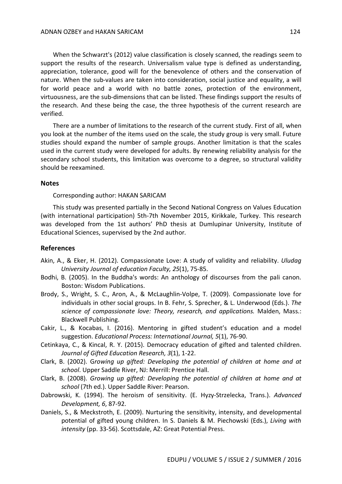When the Schwarzt's (2012) value classification is closely scanned, the readings seem to support the results of the research. Universalism value type is defined as understanding, appreciation, tolerance, good will for the benevolence of others and the conservation of nature. When the sub-values are taken into consideration, social justice and equality, a will for world peace and a world with no battle zones, protection of the environment, virtuousness, are the sub-dimensions that can be listed. These findings support the results of the research. And these being the case, the three hypothesis of the current research are verified.

There are a number of limitations to the research of the current study. First of all, when you look at the number of the items used on the scale, the study group is very small. Future studies should expand the number of sample groups. Another limitation is that the scales used in the current study were developed for adults. By renewing reliability analysis for the secondary school students, this limitation was overcome to a degree, so structural validity should be reexamined.

#### **Notes**

Corresponding author: HAKAN SARICAM

This study was presented partially in the Second National Congress on Values Education (with international participation) 5th-7th November 2015, Kirikkale, Turkey. This research was developed from the 1st authors' PhD thesis at Dumlupinar University, Institute of Educational Sciences, supervised by the 2nd author.

#### **References**

- Akin, A., & Eker, H. (2012). Compassionate Love: A study of validity and reliability. *Uludag University Journal of education Faculty, 25*(1), 75-85.
- Bodhi, B. (2005). In the Buddha's words: An anthology of discourses from the pali canon. Boston: Wisdom Publications.
- Brody, S., Wright, S. C., Aron, A., & McLaughlin-Volpe, T. (2009). Compassionate love for individuals in other social groups. In B. Fehr, S. Sprecher, & L. Underwood (Eds.). *The science of compassionate love: Theory, research, and applications.* Malden, Mass.: Blackwell Publishing.
- Cakir, L., & Kocabas, I. (2016). Mentoring in gifted student's education and a model suggestion. *Educational Process: International Journal, 5*(1), 76-90.
- Cetinkaya, C., & Kincal, R. Y. (2015). Democracy education of gifted and talented children. *Journal of Gifted Education Research, 3*(1), 1-22.
- Clark, B. (2002). G*rowing up gifted: Developing the potential of children at home and at school*. Upper Saddle River, NJ: Merrill: Prentice Hall.
- Clark, B. (2008). *Growing up gifted: Developing the potential of children at home and at school* (7th ed.). Upper Saddle River: Pearson.
- Dabrowski, K. (1994). The heroism of sensitivity. (E. Hyzy-Strzelecka, Trans.). *Advanced Development, 6*, 87-92.
- Daniels, S., & Meckstroth, E. (2009). Nurturing the sensitivity, intensity, and developmental potential of gifted young children. In S. Daniels & M. Piechowski (Eds.), *Living with intensity* (pp. 33-56). Scottsdale, AZ: Great Potential Press.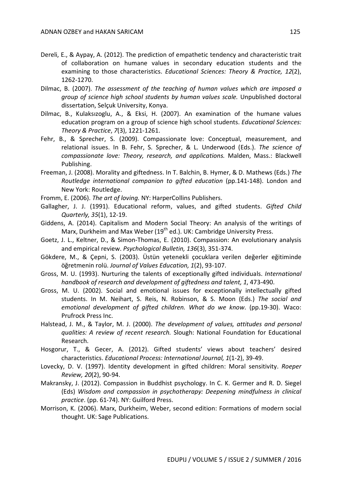- Dereli, E., & Aypay, A. (2012). The prediction of empathetic tendency and characteristic trait of collaboration on humane values in secondary education students and the examining to those characteristics. *Educational Sciences: Theory & Practice, 12*(2), 1262-1270.
- Dilmac, B. (2007). *The assessment of the teaching of human values which are imposed a group of science high school students by human values scale.* Unpublished doctoral dissertation, Selçuk University, Konya.
- Dilmac, B., Kulaksızoglu, A., & Eksi, H. (2007). An examination of the humane values education program on a group of science high school students. *Educational Sciences: Theory & Practice*, *7*(3), 1221-1261.
- Fehr, B., & Sprecher, S. (2009). Compassionate love: Conceptual, measurement, and relational issues. In B. Fehr, S. Sprecher, & L. Underwood (Eds.). *The science of compassionate love: Theory, research, and applications.* Malden, Mass.: Blackwell Publishing.
- Freeman, J. (2008). Morality and giftedness. In T. Balchin, B. Hymer, & D. Mathews (Eds.) *The Routledge international companion to gifted education* (pp.141-148). London and New York: Routledge.
- Fromm, E. (2006). *The art of loving.* NY: HarperCollins Publishers.
- Gallagher, J. J. (1991). Educational reform, values, and gifted students. *Gifted Child Quarterly, 35*(1), 12-19.
- Giddens, A. (2014). Capitalism and Modern Social Theory: An analysis of the writings of Marx, Durkheim and Max Weber  $(19<sup>th</sup>$  ed.). UK: Cambridge University Press.
- Goetz, J. L., Keltner, D., & Simon-Thomas, E. (2010). Compassion: An evolutionary analysis and empirical review. *Psychological Bulletin, 136*(3), 351-374.
- Gökdere, M., & Çepni, S. (2003). Üstün yetenekli çocuklara verilen değerler eğitiminde öğretmenin rolü. *Journal of Values Education, 1*(2), 93-107.
- Gross, M. U. (1993). Nurturing the talents of exceptionally gifted individuals. *International handbook of research and development of giftedness and talent, 1*, 473-490.
- Gross, M. U. (2002). Social and emotional issues for exceptionally intellectually gifted students. In M. Neihart, S. Reis, N. Robinson, & S. Moon (Eds.) *The social and emotional development of gifted children. What do we know*. (pp.19-30). Waco: Prufrock Press Inc.
- Halstead, J. M., & Taylor, M. J. (2000). *The development of values, attitudes and personal qualities: A review of recent research.* Slough: National Foundation for Educational Research.
- Hosgorur, T., & Gecer, A. (2012). Gifted students' views about teachers' desired characteristics. *Educational Process: International Journal, 1*(1-2), 39-49.
- Lovecky, D. V. (1997). Identity development in gifted children: Moral sensitivity. *Roeper Review, 20*(2), 90-94.
- Makransky, J. (2012). Compassion in Buddhist psychology. In C. K. Germer and R. D. Siegel (Eds) *Wisdom and compassion in psychotherapy: Deepening mindfulness in clinical practice*. (pp. 61-74). NY: Guilford Press.
- Morrison, K. (2006). Marx, Durkheim, Weber, second edition: Formations of modern social thought. UK: Sage Publications.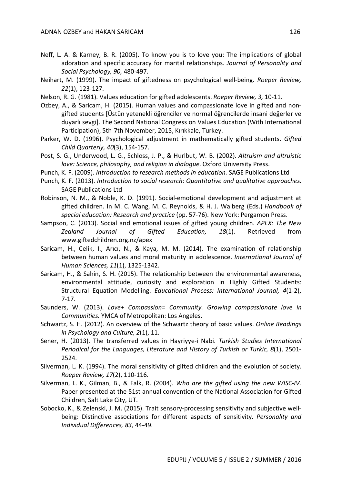- Neff, L. A. & Karney, B. R. (2005). To know you is to love you: The implications of global adoration and specific accuracy for marital relationships. *Journal of Personality and Social Psychology, 90,* 480-497.
- Neihart, M. (1999). The impact of giftedness on psychological well-being. *Roeper Review, 22*(1), 123-127.
- Nelson, R. G. (1981). Values education for gifted adolescents. *Roeper Review, 3,* 10-11.
- Ozbey, A., & Saricam, H. (2015). Human values and compassionate love in gifted and nongifted students [Üstün yetenekli öğrenciler ve normal öğrencilerde insani değerler ve duyarlı sevgi]. The Second National Congress on Values Education (With International Participation), 5th-7th November, 2015, Kırıkkale, Turkey.
- Parker, W. D. (1996). Psychological adjustment in mathematically gifted students. *Gifted Child Quarterly, 40*(3), 154-157.
- Post, S. G., Underwood, L. G., Schloss, J. P., & Hurlbut, W. B. (2002). *Altruism and altruistic love: Science, philosophy, and religion in dialogue*. Oxford University Press.
- Punch, K. F. (2009). *Introduction to research methods in education.* SAGE Publications Ltd
- Punch, K. F. (2013). *Introduction to social research: Quantitative and qualitative approaches.*  SAGE Publications Ltd
- Robinson, N. M., & Noble, K. D. (1991). Social-emotional development and adjustment at gifted children. In M. C. Wang, M. C. Reynolds, & H. J. Walberg (Eds.) *Handbook of special education: Research and practice* (pp. 57-76). New York: Pergamon Press.
- Sampson, C. (2013). Social and emotional issues of gifted young children. *APEX: The New Zealand Journal of Gifted Education, 18*(1). Retrieved from www.giftedchildren.org.nz/apex
- Saricam, H., Celik, I., Arıcı, N., & Kaya, M. M. (2014). The examination of relationship between human values and moral maturity in adolescence. *International Journal of Human Sciences, 11*(1), 1325-1342.
- Saricam, H., & Sahin, S. H. (2015). The relationship between the environmental awareness, environmental attitude, curiosity and exploration in Highly Gifted Students: Structural Equation Modelling. *Educational Process: International Journal, 4*(1-2), 7-17.
- Saunders, W. (2013). *Love+ Compassion= Community. Growing compassionate love in Communities.* YMCA of Metropolitan: Los Angeles.
- Schwartz, S. H. (2012). An overview of the Schwartz theory of basic values. *Online Readings in Psychology and Culture, 2*(1), 11.
- Sener, H. (2013). The transferred values in Hayriyye-i Nabi. *Turkish Studies International Periodical for the Languages, Literature and History of Turkish or Turkic, 8*(1), 2501- 2524.
- Silverman, L. K. (1994). The moral sensitivity of gifted children and the evolution of society. *Roeper Review, 17*(2), 110-116.
- Silverman, L. K., Gilman, B., & Falk, R. (2004). *Who are the gifted using the new WISC-IV.* Paper presented at the 51st annual convention of the National Association for Gifted Children, Salt Lake City, UT.
- Sobocko, K., & Zelenski, J. M. (2015). Trait sensory-processing sensitivity and subjective wellbeing: Distinctive associations for different aspects of sensitivity. *Personality and Individual Differences, 83,* 44-49.